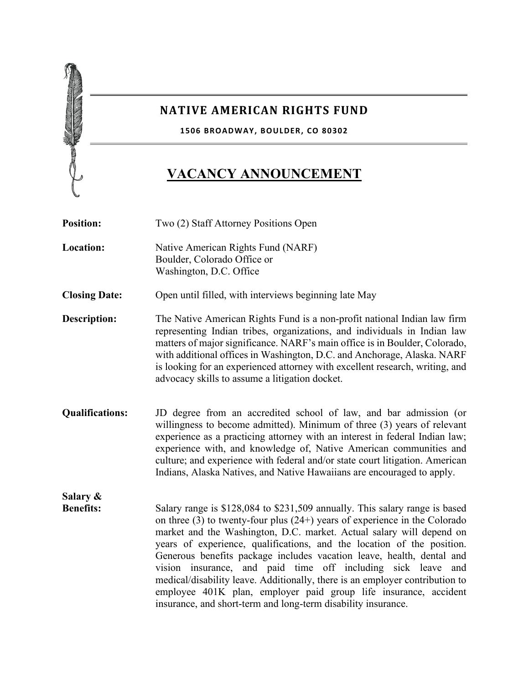

## **NATIVE AMERICAN RIGHTS FUND**

**1506 BROADWAY, BOULDER, CO 80302**

## **VACANCY ANNOUNCEMENT**

**Position:** Two (2) Staff Attorney Positions Open **Location:** Native American Rights Fund (NARF) Boulder, Colorado Office or Washington, D.C. Office **Closing Date:** Open until filled, with interviews beginning late May **Description:** The Native American Rights Fund is a non-profit national Indian law firm representing Indian tribes, organizations, and individuals in Indian law matters of major significance. NARF's main office is in Boulder, Colorado, with additional offices in Washington, D.C. and Anchorage, Alaska. NARF is looking for an experienced attorney with excellent research, writing, and advocacy skills to assume a litigation docket. **Qualifications:** JD degree from an accredited school of law, and bar admission (or willingness to become admitted). Minimum of three (3) years of relevant experience as a practicing attorney with an interest in federal Indian law; experience with, and knowledge of, Native American communities and culture; and experience with federal and/or state court litigation. American Indians, Alaska Natives, and Native Hawaiians are encouraged to apply. **Salary & Benefits:** Salary range is \$128,084 to \$231,509 annually. This salary range is based on three (3) to twenty-four plus (24+) years of experience in the Colorado market and the Washington, D.C. market. Actual salary will depend on years of experience, qualifications, and the location of the position. Generous benefits package includes vacation leave, health, dental and vision insurance, and paid time off including sick leave and medical/disability leave. Additionally, there is an employer contribution to employee 401K plan, employer paid group life insurance, accident insurance, and short-term and long-term disability insurance.